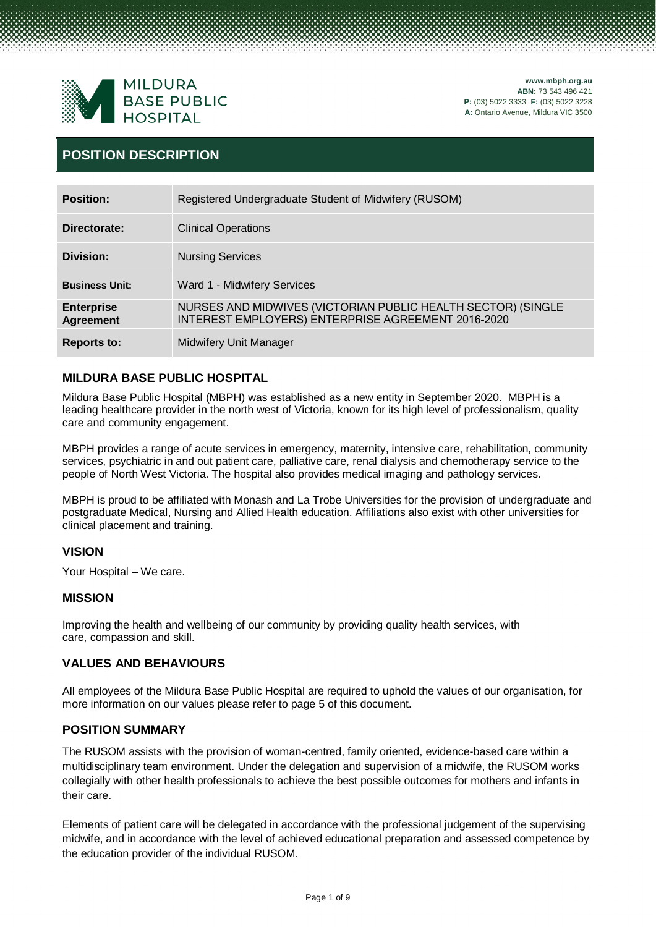

# **POSITION DESCRIPTION**

| <b>Position:</b>                      | Registered Undergraduate Student of Midwifery (RUSOM)                                                              |
|---------------------------------------|--------------------------------------------------------------------------------------------------------------------|
| Directorate:                          | <b>Clinical Operations</b>                                                                                         |
| Division:                             | <b>Nursing Services</b>                                                                                            |
| <b>Business Unit:</b>                 | Ward 1 - Midwifery Services                                                                                        |
| <b>Enterprise</b><br><b>Agreement</b> | NURSES AND MIDWIVES (VICTORIAN PUBLIC HEALTH SECTOR) (SINGLE<br>INTEREST EMPLOYERS) ENTERPRISE AGREEMENT 2016-2020 |
| <b>Reports to:</b>                    | <b>Midwifery Unit Manager</b>                                                                                      |

# **MILDURA BASE PUBLIC HOSPITAL**

Mildura Base Public Hospital (MBPH) was established as a new entity in September 2020. MBPH is a leading healthcare provider in the north west of Victoria, known for its high level of professionalism, quality care and community engagement.

MBPH provides a range of acute services in emergency, maternity, intensive care, rehabilitation, community services, psychiatric in and out patient care, palliative care, renal dialysis and chemotherapy service to the people of North West Victoria. The hospital also provides medical imaging and pathology services.

MBPH is proud to be affiliated with Monash and La Trobe Universities for the provision of undergraduate and postgraduate Medical, Nursing and Allied Health education. Affiliations also exist with other universities for clinical placement and training.

# **VISION**

Your Hospital – We care.

# **MISSION**

Improving the health and wellbeing of our community by providing quality health services, with care, compassion and skill.

# **VALUES AND BEHAVIOURS**

All employees of the Mildura Base Public Hospital are required to uphold the values of our organisation, for more information on our values please refer to page 5 of this document.

# **POSITION SUMMARY**

The RUSOM assists with the provision of woman-centred, family oriented, evidence-based care within a multidisciplinary team environment. Under the delegation and supervision of a midwife, the RUSOM works collegially with other health professionals to achieve the best possible outcomes for mothers and infants in their care.

Elements of patient care will be delegated in accordance with the professional judgement of the supervising midwife, and in accordance with the level of achieved educational preparation and assessed competence by the education provider of the individual RUSOM.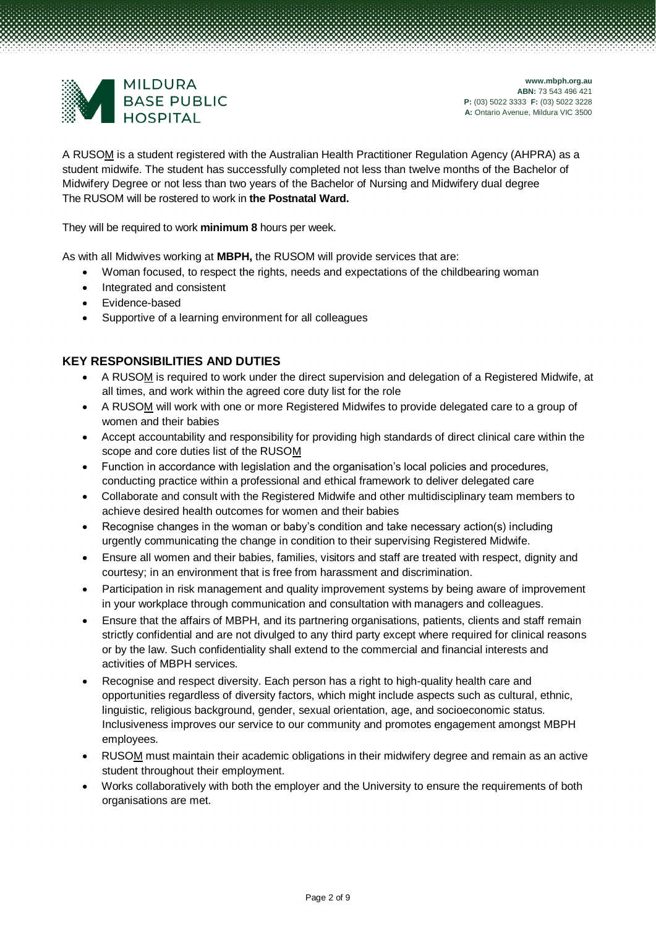

A RUSOM is a student registered with the Australian Health Practitioner Regulation Agency (AHPRA) as a student midwife. The student has successfully completed not less than twelve months of the Bachelor of Midwifery Degree or not less than two years of the Bachelor of Nursing and Midwifery dual degree The RUSOM will be rostered to work in **the Postnatal Ward.**

They will be required to work **minimum 8** hours per week.

As with all Midwives working at **MBPH,** the RUSOM will provide services that are:

- Woman focused, to respect the rights, needs and expectations of the childbearing woman
- Integrated and consistent
- Evidence-based
- Supportive of a learning environment for all colleagues

# **KEY RESPONSIBILITIES AND DUTIES**

- A RUSOM is required to work under the direct supervision and delegation of a Registered Midwife, at all times, and work within the agreed core duty list for the role
- A RUSOM will work with one or more Registered Midwifes to provide delegated care to a group of women and their babies
- Accept accountability and responsibility for providing high standards of direct clinical care within the scope and core duties list of the RUSOM
- Function in accordance with legislation and the organisation's local policies and procedures, conducting practice within a professional and ethical framework to deliver delegated care
- Collaborate and consult with the Registered Midwife and other multidisciplinary team members to achieve desired health outcomes for women and their babies
- Recognise changes in the woman or baby's condition and take necessary action(s) including urgently communicating the change in condition to their supervising Registered Midwife.
- Ensure all women and their babies, families, visitors and staff are treated with respect, dignity and courtesy; in an environment that is free from harassment and discrimination.
- Participation in risk management and quality improvement systems by being aware of improvement in your workplace through communication and consultation with managers and colleagues.
- Ensure that the affairs of MBPH, and its partnering organisations, patients, clients and staff remain strictly confidential and are not divulged to any third party except where required for clinical reasons or by the law. Such confidentiality shall extend to the commercial and financial interests and activities of MBPH services.
- Recognise and respect diversity. Each person has a right to high-quality health care and opportunities regardless of diversity factors, which might include aspects such as cultural, ethnic, linguistic, religious background, gender, sexual orientation, age, and socioeconomic status. Inclusiveness improves our service to our community and promotes engagement amongst MBPH employees.
- RUSOM must maintain their academic obligations in their midwifery degree and remain as an active student throughout their employment.
- Works collaboratively with both the employer and the University to ensure the requirements of both organisations are met.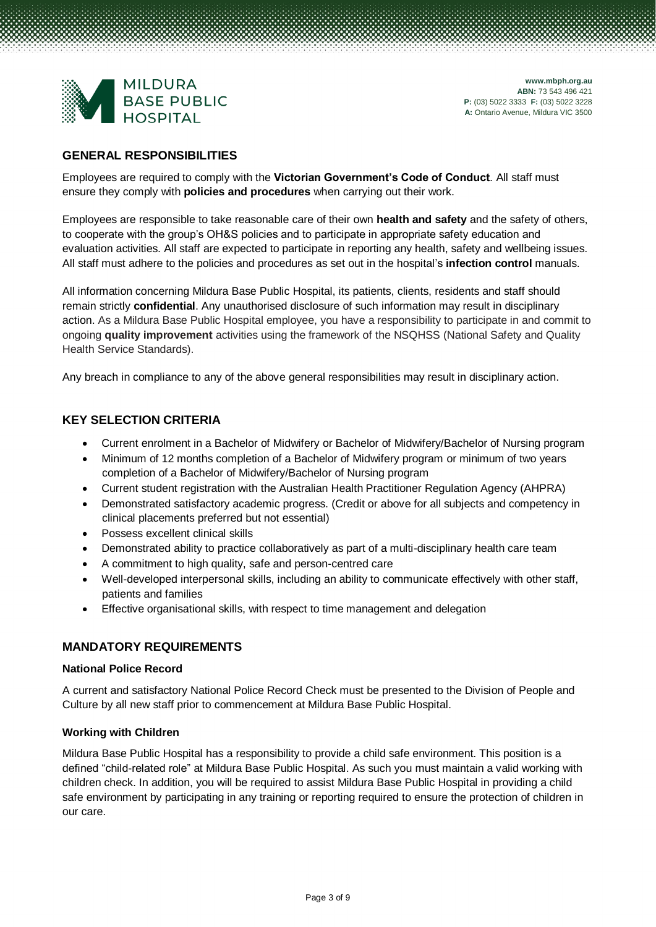

# **GENERAL RESPONSIBILITIES**

Employees are required to comply with the **Victorian Government's Code of Conduct**. All staff must ensure they comply with **policies and procedures** when carrying out their work.

Employees are responsible to take reasonable care of their own **health and safety** and the safety of others, to cooperate with the group's OH&S policies and to participate in appropriate safety education and evaluation activities. All staff are expected to participate in reporting any health, safety and wellbeing issues. All staff must adhere to the policies and procedures as set out in the hospital's **infection control** manuals.

All information concerning Mildura Base Public Hospital, its patients, clients, residents and staff should remain strictly **confidential**. Any unauthorised disclosure of such information may result in disciplinary action. As a Mildura Base Public Hospital employee, you have a responsibility to participate in and commit to ongoing **quality improvement** activities using the framework of the NSQHSS (National Safety and Quality Health Service Standards).

Any breach in compliance to any of the above general responsibilities may result in disciplinary action.

# **KEY SELECTION CRITERIA**

- Current enrolment in a Bachelor of Midwifery or Bachelor of Midwifery/Bachelor of Nursing program
- Minimum of 12 months completion of a Bachelor of Midwifery program or minimum of two years completion of a Bachelor of Midwifery/Bachelor of Nursing program
- Current student registration with the Australian Health Practitioner Regulation Agency (AHPRA)
- Demonstrated satisfactory academic progress. (Credit or above for all subjects and competency in clinical placements preferred but not essential)
- Possess excellent clinical skills
- Demonstrated ability to practice collaboratively as part of a multi-disciplinary health care team
- A commitment to high quality, safe and person-centred care
- Well-developed interpersonal skills, including an ability to communicate effectively with other staff, patients and families
- Effective organisational skills, with respect to time management and delegation

# **MANDATORY REQUIREMENTS**

#### **National Police Record**

A current and satisfactory National Police Record Check must be presented to the Division of People and Culture by all new staff prior to commencement at Mildura Base Public Hospital.

#### **Working with Children**

Mildura Base Public Hospital has a responsibility to provide a child safe environment. This position is a defined "child-related role" at Mildura Base Public Hospital. As such you must maintain a valid working with children check. In addition, you will be required to assist Mildura Base Public Hospital in providing a child safe environment by participating in any training or reporting required to ensure the protection of children in our care.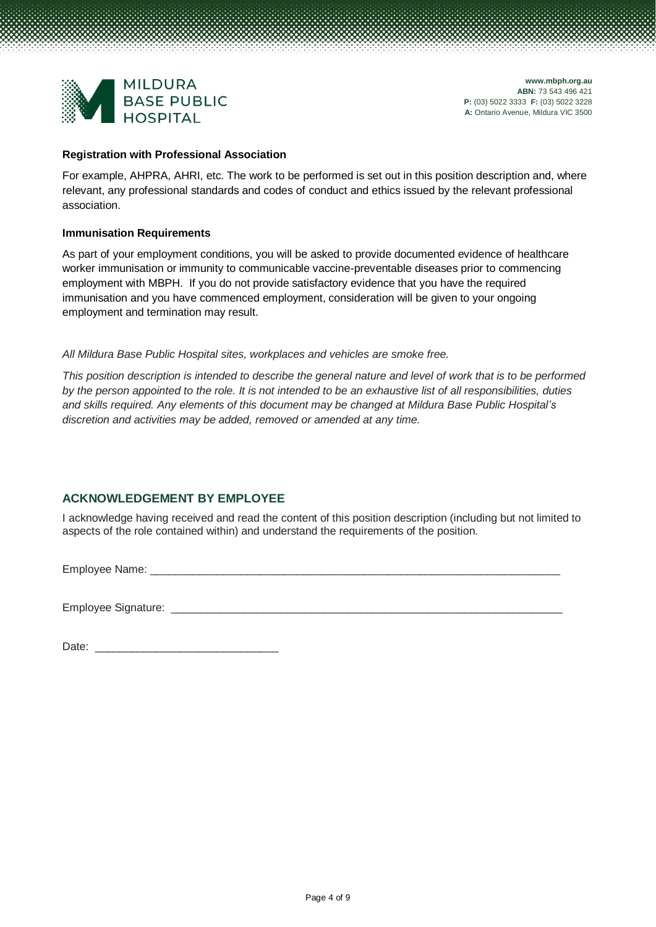

#### **Registration with Professional Association**

For example, AHPRA, AHRI, etc. The work to be performed is set out in this position description and, where relevant, any professional standards and codes of conduct and ethics issued by the relevant professional association.

#### **Immunisation Requirements**

As part of your employment conditions, you will be asked to provide documented evidence of healthcare worker immunisation or immunity to communicable vaccine-preventable diseases prior to commencing employment with MBPH. If you do not provide satisfactory evidence that you have the required immunisation and you have commenced employment, consideration will be given to your ongoing employment and termination may result.

### *All Mildura Base Public Hospital sites, workplaces and vehicles are smoke free.*

*This position description is intended to describe the general nature and level of work that is to be performed by the person appointed to the role. It is not intended to be an exhaustive list of all responsibilities, duties and skills required. Any elements of this document may be changed at Mildura Base Public Hospital's discretion and activities may be added, removed or amended at any time.*

# **ACKNOWLEDGEMENT BY EMPLOYEE**

I acknowledge having received and read the content of this position description (including but not limited to aspects of the role contained within) and understand the requirements of the position.

Employee Name: \_

Employee Signature: \_\_\_\_\_\_\_\_\_\_\_\_\_\_\_\_\_\_\_\_\_\_\_\_\_\_\_\_\_\_\_\_\_\_\_\_\_\_\_\_\_\_\_\_\_\_\_\_\_\_\_\_\_\_\_\_\_\_\_\_\_\_\_\_

Date: \_\_\_\_\_\_\_\_\_\_\_\_\_\_\_\_\_\_\_\_\_\_\_\_\_\_\_\_\_\_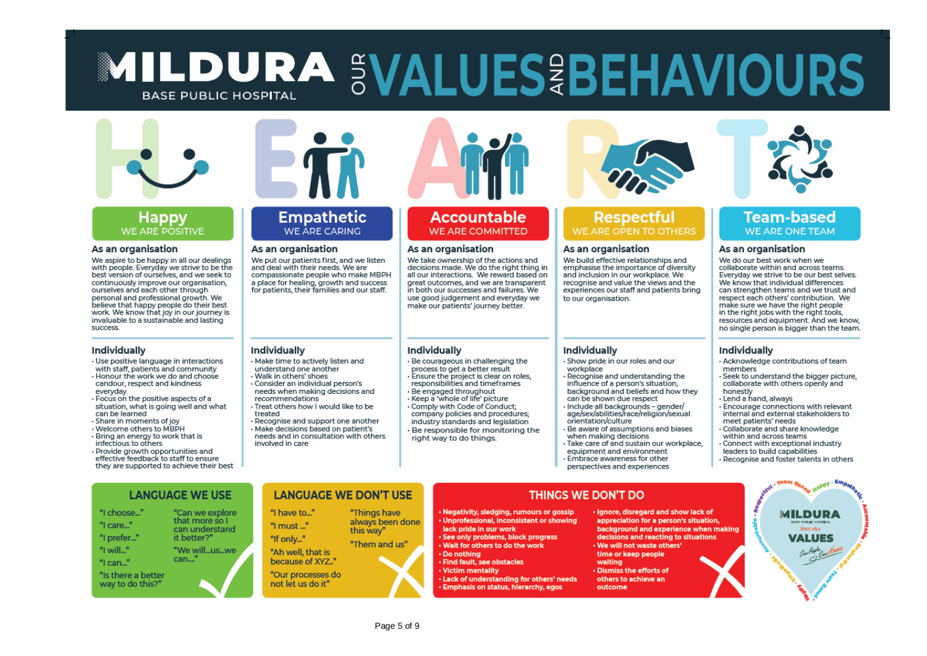# $\blacksquare$ **BASE PUBLIC HOSPITAL ABN:** 73 543 496 421



#### Happy WE ARE POSITIVE

#### As an organisation

We aspire to be happy in all our dealings with people. Everyday we strive to be the best version of ourselves, and we seek to continuously improve our organisation. ourselves and each other through personal and professional growth. We believe that happy people do their best work. We know that joy in our journey is invaluable to a sustainable and lasting success.

#### Individually

- Use positive language in interactions
- with staff, patients and community . Honour the work we do and choose
- candour, respect and kindness everyday . Focus on the positive aspects of a
- situation, what is going well and what can be learned
- Share in moments of joy - Welcome others to MBPH
- Bring an energy to work that is
- infectious to others
- · Provide growth opportunities and effective feedback to staff to ensure they are supported to achieve their best



## **Empathetic** WE ARE CARING

#### As an organisation

We put our patients first, and we listen and deal with their needs. We are compassionate people who make MBPH a place for healing, growth and success for patients, their families and our staff.

#### Individually

- · Make time to actively listen and understand one another · Walk in others' shoes
- Consider an individual person's needs when making decisions and recommendations
- Treat others how I would like to be treated
- Recognise and support one another · Make decisions based on patient's needs and in consultation with others involved in care



# **Accountable** WE ARE COMMITTED

#### As an organisation

We take ownership of the actions and decisions made. We do the right thing in all our interactions. We reward based on great outcomes, and we are transparent in both our successes and failures. We use good judgement and everyday we make our patients' journey better.

#### Individually

- · Be courageous in challenging the process to get a better result  $\cdot$  Ensure the project is clear on roles. responsibilities and timeframes
- · Be engaged throughout · Keep a 'whole of life' picture
- Comply with Code of Conduct: company policies and procedures: industry standards and legislation · Be responsible for monitoring the right way to do things.



# **Respectful** WE ARE OPEN TO OTHERS

#### As an organisation

**A:** Ontario Avenue, Mildura VIC 3500

We build effective relationships and emphasise the importance of diversity and inclusion in our workplace. We recognise and value the views and the experiences our staff and patients bring to our organisation.

#### Individually

- Show pride in our roles and our workplace
- Recognise and understanding the influence of a person's situation, background and beliefs and how they
- can be shown due respect · Include all backgrounds - gender/
- age/sex/abilities/race/religion/sexual
- orientation/culture - Be aware of assumptions and biases
- when making decisions
- · Take care of and sustain our workplace,
- equipment and environment
- · Embrace awareness for other
- perspectives and experiences

# **Team-based** WE ARE ONE TEAM

#### As an organisation

We do our best work when we collaborate within and across teams. Everyday we strive to be our best selves. Everyday we serve to be sen best served. can strengthen teams and we trust and respect each others' contribution. We make sure we have the right people in the right jobs with the right tools. resources and equipment. And we know, no single person is bigger than the team

#### Individually

- Acknowledge contributions of team members
- · Seek to understand the bigger picture. collaborate with others openly and honestly
- · Lend a hand, always
- · Encourage connections with relevant internal and external stakeholders to meet patients' needs
- Collaborate and share knowledge
- within and across teams
- Connect with exceptional industry
- leaders to build capabilities
- · Recognise and foster talents in others

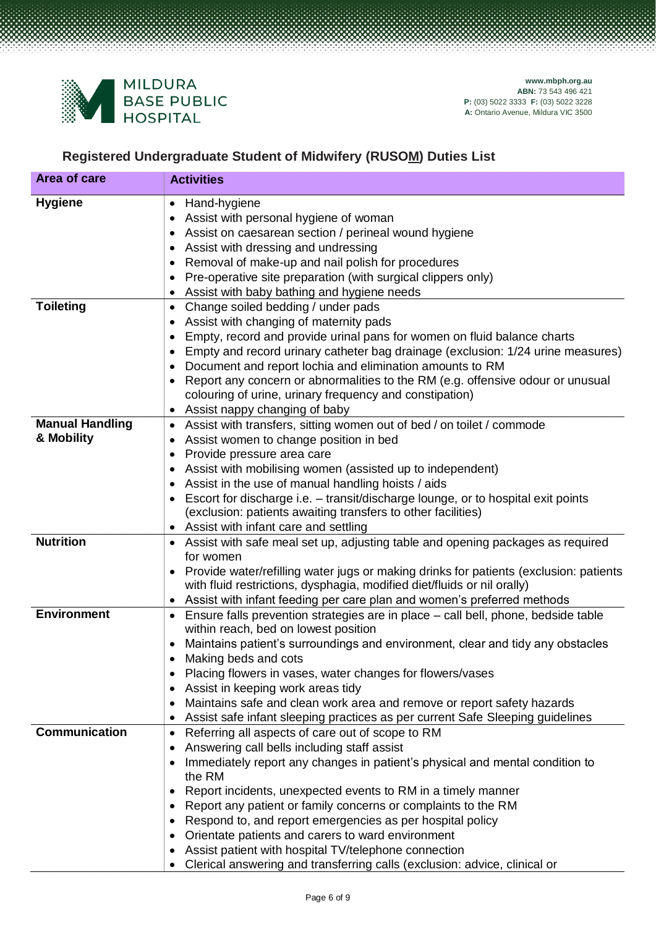

# **Registered Undergraduate Student of Midwifery (RUSOM) Duties List**

| Area of care                         | <b>Activities</b>                                                                                                                                                                                                                                                                                                                                                                                                                                                                                                                                                                              |
|--------------------------------------|------------------------------------------------------------------------------------------------------------------------------------------------------------------------------------------------------------------------------------------------------------------------------------------------------------------------------------------------------------------------------------------------------------------------------------------------------------------------------------------------------------------------------------------------------------------------------------------------|
| <b>Hygiene</b>                       | Hand-hygiene<br>$\bullet$<br>Assist with personal hygiene of woman<br>Assist on caesarean section / perineal wound hygiene<br>Assist with dressing and undressing<br>Removal of make-up and nail polish for procedures<br>Pre-operative site preparation (with surgical clippers only)<br>Assist with baby bathing and hygiene needs                                                                                                                                                                                                                                                           |
| <b>Toileting</b>                     | Change soiled bedding / under pads<br>$\bullet$<br>Assist with changing of maternity pads<br>Empty, record and provide urinal pans for women on fluid balance charts<br>Empty and record urinary catheter bag drainage (exclusion: 1/24 urine measures)<br>Document and report lochia and elimination amounts to RM<br>Report any concern or abnormalities to the RM (e.g. offensive odour or unusual<br>colouring of urine, urinary frequency and constipation)<br>Assist nappy changing of baby                                                                                              |
| <b>Manual Handling</b><br>& Mobility | Assist with transfers, sitting women out of bed / on toilet / commode<br>$\bullet$<br>Assist women to change position in bed<br>$\bullet$<br>Provide pressure area care<br>Assist with mobilising women (assisted up to independent)<br>Assist in the use of manual handling hoists / aids<br>Escort for discharge i.e. - transit/discharge lounge, or to hospital exit points<br>$\bullet$<br>(exclusion: patients awaiting transfers to other facilities)<br>Assist with infant care and settling                                                                                            |
| <b>Nutrition</b>                     | Assist with safe meal set up, adjusting table and opening packages as required<br>for women<br>• Provide water/refilling water jugs or making drinks for patients (exclusion: patients<br>with fluid restrictions, dysphagia, modified diet/fluids or nil orally)<br>Assist with infant feeding per care plan and women's preferred methods                                                                                                                                                                                                                                                    |
| <b>Environment</b>                   | Ensure falls prevention strategies are in place - call bell, phone, bedside table<br>within reach, bed on lowest position<br>Maintains patient's surroundings and environment, clear and tidy any obstacles<br>Making beds and cots<br>Placing flowers in vases, water changes for flowers/vases<br>Assist in keeping work areas tidy<br>Maintains safe and clean work area and remove or report safety hazards<br>Assist safe infant sleeping practices as per current Safe Sleeping guidelines                                                                                               |
| <b>Communication</b>                 | Referring all aspects of care out of scope to RM<br>$\bullet$<br>Answering call bells including staff assist<br>Immediately report any changes in patient's physical and mental condition to<br>the RM<br>Report incidents, unexpected events to RM in a timely manner<br>Report any patient or family concerns or complaints to the RM<br>Respond to, and report emergencies as per hospital policy<br>Orientate patients and carers to ward environment<br>Assist patient with hospital TV/telephone connection<br>Clerical answering and transferring calls (exclusion: advice, clinical or |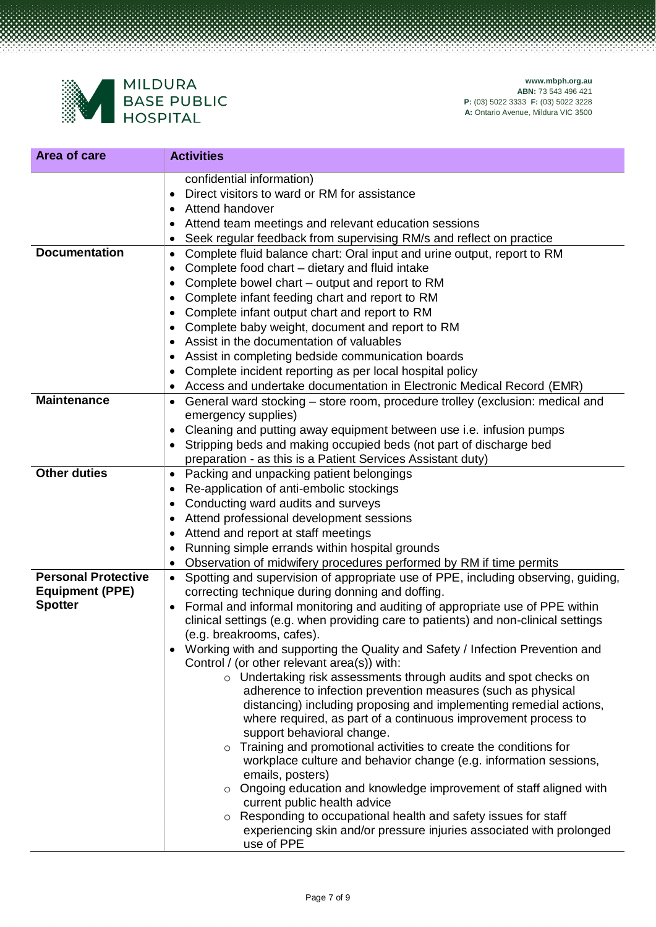

| Area of care                                                           | <b>Activities</b>                                                                                                                                                                                                                                                                                                                                                                                                                                                                                                                                                                                                                                                                                                                                                                                                                                                                                                                                                                                                                                                                                                                                                                                                                       |
|------------------------------------------------------------------------|-----------------------------------------------------------------------------------------------------------------------------------------------------------------------------------------------------------------------------------------------------------------------------------------------------------------------------------------------------------------------------------------------------------------------------------------------------------------------------------------------------------------------------------------------------------------------------------------------------------------------------------------------------------------------------------------------------------------------------------------------------------------------------------------------------------------------------------------------------------------------------------------------------------------------------------------------------------------------------------------------------------------------------------------------------------------------------------------------------------------------------------------------------------------------------------------------------------------------------------------|
|                                                                        | confidential information)<br>Direct visitors to ward or RM for assistance<br>Attend handover<br>Attend team meetings and relevant education sessions<br>Seek regular feedback from supervising RM/s and reflect on practice                                                                                                                                                                                                                                                                                                                                                                                                                                                                                                                                                                                                                                                                                                                                                                                                                                                                                                                                                                                                             |
| <b>Documentation</b>                                                   | Complete fluid balance chart: Oral input and urine output, report to RM<br>$\bullet$<br>Complete food chart - dietary and fluid intake<br>Complete bowel chart – output and report to RM<br>٠<br>Complete infant feeding chart and report to RM<br>٠<br>Complete infant output chart and report to RM<br>Complete baby weight, document and report to RM<br>Assist in the documentation of valuables<br>Assist in completing bedside communication boards<br>Complete incident reporting as per local hospital policy<br>Access and undertake documentation in Electronic Medical Record (EMR)                                                                                                                                                                                                                                                                                                                                                                                                                                                                                                                                                                                                                                          |
| <b>Maintenance</b>                                                     | General ward stocking – store room, procedure trolley (exclusion: medical and<br>٠<br>emergency supplies)<br>Cleaning and putting away equipment between use i.e. infusion pumps<br>٠<br>Stripping beds and making occupied beds (not part of discharge bed<br>preparation - as this is a Patient Services Assistant duty)                                                                                                                                                                                                                                                                                                                                                                                                                                                                                                                                                                                                                                                                                                                                                                                                                                                                                                              |
| <b>Other duties</b>                                                    | Packing and unpacking patient belongings<br>$\bullet$<br>Re-application of anti-embolic stockings<br>Conducting ward audits and surveys<br>Attend professional development sessions<br>Attend and report at staff meetings<br>Running simple errands within hospital grounds<br>$\bullet$<br>Observation of midwifery procedures performed by RM if time permits                                                                                                                                                                                                                                                                                                                                                                                                                                                                                                                                                                                                                                                                                                                                                                                                                                                                        |
| <b>Personal Protective</b><br><b>Equipment (PPE)</b><br><b>Spotter</b> | Spotting and supervision of appropriate use of PPE, including observing, guiding,<br>correcting technique during donning and doffing.<br>Formal and informal monitoring and auditing of appropriate use of PPE within<br>$\bullet$<br>clinical settings (e.g. when providing care to patients) and non-clinical settings<br>(e.g. breakrooms, cafes).<br>Working with and supporting the Quality and Safety / Infection Prevention and<br>Control / (or other relevant area(s)) with:<br>o Undertaking risk assessments through audits and spot checks on<br>adherence to infection prevention measures (such as physical<br>distancing) including proposing and implementing remedial actions,<br>where required, as part of a continuous improvement process to<br>support behavioral change.<br>o Training and promotional activities to create the conditions for<br>workplace culture and behavior change (e.g. information sessions,<br>emails, posters)<br>o Ongoing education and knowledge improvement of staff aligned with<br>current public health advice<br>Responding to occupational health and safety issues for staff<br>$\circ$<br>experiencing skin and/or pressure injuries associated with prolonged<br>use of PPE |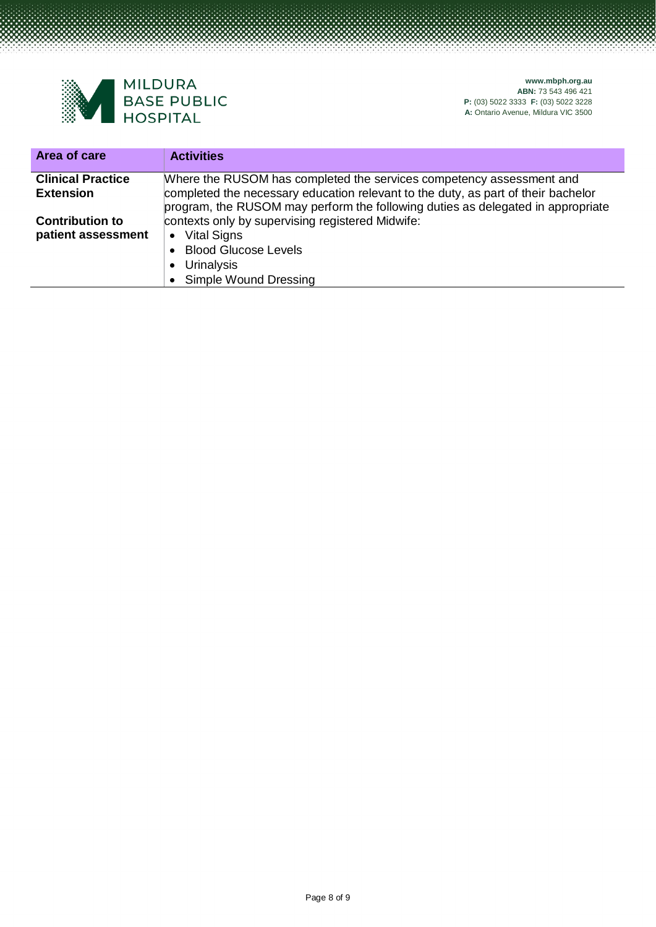

| Area of care                                 | <b>Activities</b>                                                                                                                                                                                                                            |
|----------------------------------------------|----------------------------------------------------------------------------------------------------------------------------------------------------------------------------------------------------------------------------------------------|
| <b>Clinical Practice</b><br><b>Extension</b> | Where the RUSOM has completed the services competency assessment and<br>completed the necessary education relevant to the duty, as part of their bachelor<br>program, the RUSOM may perform the following duties as delegated in appropriate |
| <b>Contribution to</b><br>patient assessment | contexts only by supervising registered Midwife:<br>• Vital Signs<br>• Blood Glucose Levels<br>• Urinalysis<br>• Simple Wound Dressing                                                                                                       |